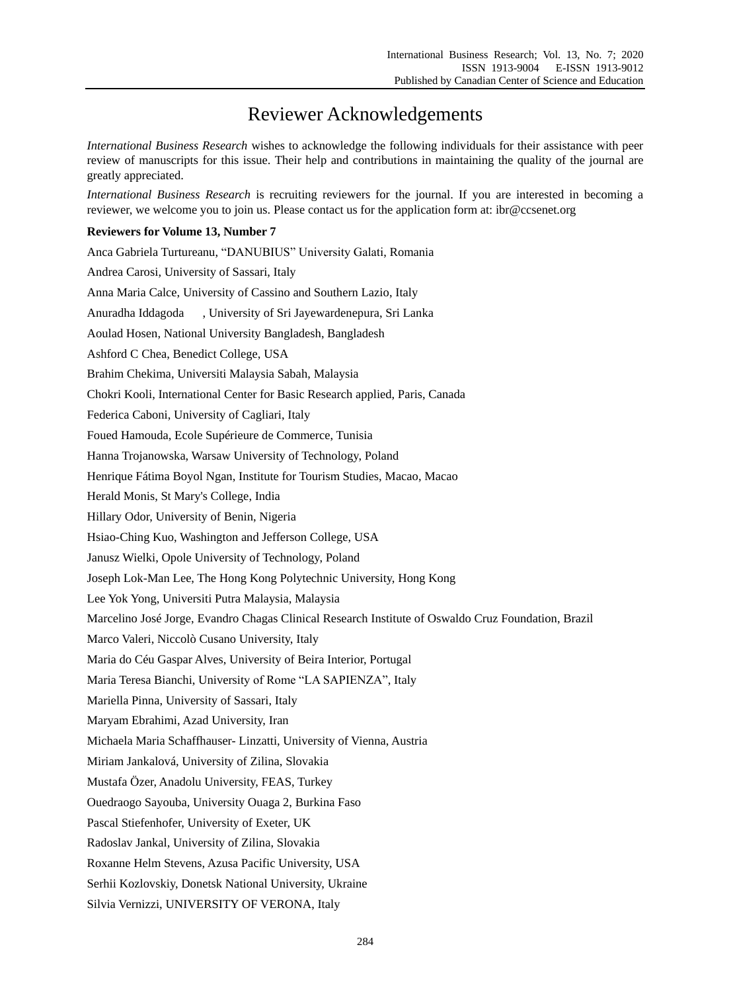## Reviewer Acknowledgements

*International Business Research* wishes to acknowledge the following individuals for their assistance with peer review of manuscripts for this issue. Their help and contributions in maintaining the quality of the journal are greatly appreciated.

*International Business Research* is recruiting reviewers for the journal. If you are interested in becoming a reviewer, we welcome you to join us. Please contact us for the application form at: ibr@ccsenet.org

## **Reviewers for Volume 13, Number 7**

Anca Gabriela Turtureanu, "DANUBIUS" University Galati, Romania Andrea Carosi, University of Sassari, Italy Anna Maria Calce, University of Cassino and Southern Lazio, Italy Anuradha Iddagoda , University of Sri Jayewardenepura, Sri Lanka Aoulad Hosen, National University Bangladesh, Bangladesh Ashford C Chea, Benedict College, USA Brahim Chekima, Universiti Malaysia Sabah, Malaysia Chokri Kooli, International Center for Basic Research applied, Paris, Canada Federica Caboni, University of Cagliari, Italy Foued Hamouda, Ecole Supérieure de Commerce, Tunisia Hanna Trojanowska, Warsaw University of Technology, Poland Henrique Fátima Boyol Ngan, Institute for Tourism Studies, Macao, Macao Herald Monis, St Mary's College, India Hillary Odor, University of Benin, Nigeria Hsiao-Ching Kuo, Washington and Jefferson College, USA Janusz Wielki, Opole University of Technology, Poland Joseph Lok-Man Lee, The Hong Kong Polytechnic University, Hong Kong Lee Yok Yong, Universiti Putra Malaysia, Malaysia Marcelino José Jorge, Evandro Chagas Clinical Research Institute of Oswaldo Cruz Foundation, Brazil Marco Valeri, Niccolò Cusano University, Italy Maria do Céu Gaspar Alves, University of Beira Interior, Portugal Maria Teresa Bianchi, University of Rome "LA SAPIENZA", Italy Mariella Pinna, University of Sassari, Italy Maryam Ebrahimi, Azad University, Iran Michaela Maria Schaffhauser- Linzatti, University of Vienna, Austria Miriam Jankalová, University of Zilina, Slovakia Mustafa Özer, Anadolu University, FEAS, Turkey Ouedraogo Sayouba, University Ouaga 2, Burkina Faso Pascal Stiefenhofer, University of Exeter, UK Radoslav Jankal, University of Zilina, Slovakia Roxanne Helm Stevens, Azusa Pacific University, USA Serhii Kozlovskiy, Donetsk National University, Ukraine